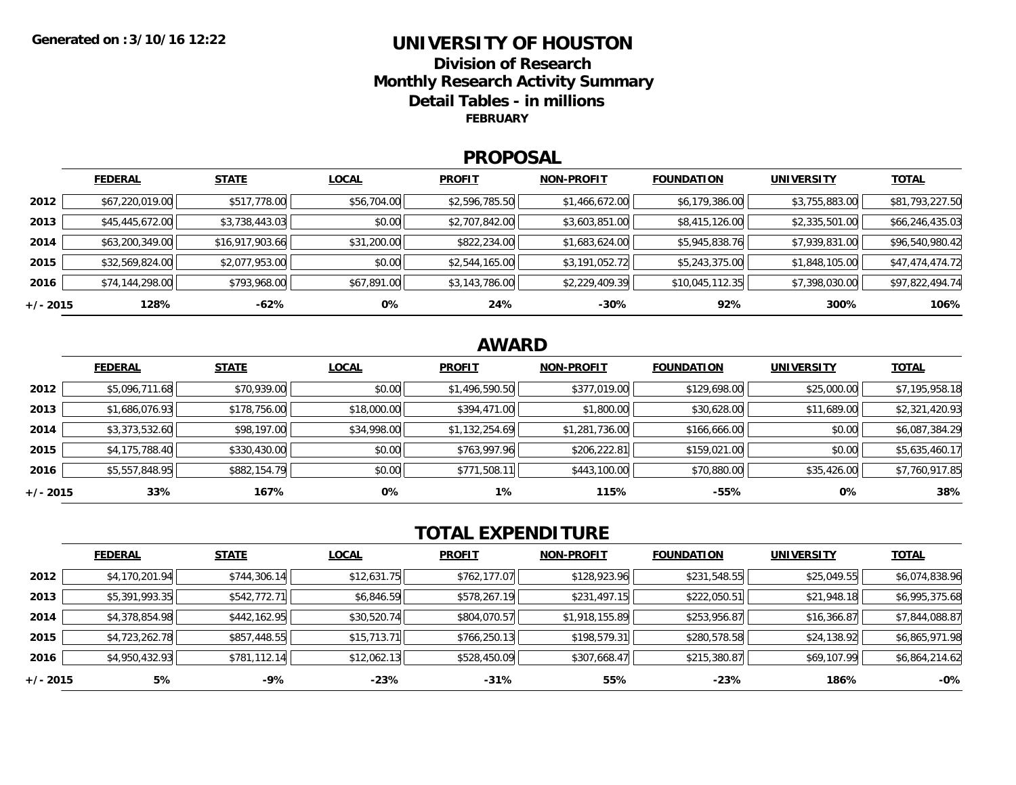## **UNIVERSITY OF HOUSTONDivision of ResearchMonthly Research Activity Summary Detail Tables - in millions FEBRUARY**

#### **PROPOSAL**

|            | <b>FEDERAL</b>  | <b>STATE</b>    | <b>LOCAL</b> | <b>PROFIT</b>  | <b>NON-PROFIT</b> | <b>FOUNDATION</b> | <b>UNIVERSITY</b> | <b>TOTAL</b>    |
|------------|-----------------|-----------------|--------------|----------------|-------------------|-------------------|-------------------|-----------------|
| 2012       | \$67,220,019.00 | \$517,778.00    | \$56,704.00  | \$2,596,785.50 | \$1,466,672.00    | \$6,179,386.00    | \$3,755,883.00    | \$81,793,227.50 |
| 2013       | \$45,445,672.00 | \$3,738,443.03  | \$0.00       | \$2,707,842.00 | \$3,603,851.00    | \$8,415,126.00    | \$2,335,501.00    | \$66,246,435.03 |
| 2014       | \$63,200,349.00 | \$16,917,903.66 | \$31,200.00  | \$822,234.00   | \$1,683,624.00    | \$5,945,838.76    | \$7,939,831.00    | \$96,540,980.42 |
| 2015       | \$32,569,824.00 | \$2,077,953.00  | \$0.00       | \$2,544,165.00 | \$3,191,052.72    | \$5,243,375.00    | \$1,848,105.00    | \$47,474,474.72 |
| 2016       | \$74,144,298.00 | \$793,968.00    | \$67,891.00  | \$3,143,786.00 | \$2,229,409.39    | \$10,045,112.35   | \$7,398,030.00    | \$97,822,494.74 |
| $+/- 2015$ | 128%            | -62%            | 0%           | 24%            | $-30%$            | 92%               | 300%              | 106%            |

# **AWARD**

|            | <b>FEDERAL</b> | <b>STATE</b> | <b>LOCAL</b> | <b>PROFIT</b>  | <b>NON-PROFIT</b> | <b>FOUNDATION</b> | <b>UNIVERSITY</b> | <b>TOTAL</b>   |
|------------|----------------|--------------|--------------|----------------|-------------------|-------------------|-------------------|----------------|
| 2012       | \$5,096,711.68 | \$70,939.00  | \$0.00       | \$1,496,590.50 | \$377,019.00      | \$129,698.00      | \$25,000.00       | \$7,195,958.18 |
| 2013       | \$1,686,076.93 | \$178,756.00 | \$18,000.00  | \$394,471.00   | \$1,800.00        | \$30,628.00       | \$11,689.00       | \$2,321,420.93 |
| 2014       | \$3,373,532.60 | \$98,197.00  | \$34,998.00  | \$1,132,254.69 | \$1,281,736.00    | \$166,666.00      | \$0.00            | \$6,087,384.29 |
| 2015       | \$4,175,788.40 | \$330,430.00 | \$0.00       | \$763,997.96   | \$206,222.81      | \$159,021.00      | \$0.00            | \$5,635,460.17 |
| 2016       | \$5,557,848.95 | \$882,154.79 | \$0.00       | \$771,508.11   | \$443,100.00      | \$70,880.00       | \$35,426.00       | \$7,760,917.85 |
| $+/- 2015$ | 33%            | 167%         | 0%           | $1\%$          | 115%              | $-55%$            | 0%                | 38%            |

# **TOTAL EXPENDITURE**

|          | <b>FEDERAL</b> | <b>STATE</b> | <b>LOCAL</b> | <b>PROFIT</b> | <b>NON-PROFIT</b> | <b>FOUNDATION</b> | <b>UNIVERSITY</b> | <b>TOTAL</b>   |
|----------|----------------|--------------|--------------|---------------|-------------------|-------------------|-------------------|----------------|
| 2012     | \$4,170,201.94 | \$744,306.14 | \$12,631.75  | \$762,177.07  | \$128,923.96      | \$231,548.55      | \$25,049.55       | \$6,074,838.96 |
| 2013     | \$5,391,993.35 | \$542,772.71 | \$6,846.59   | \$578,267.19  | \$231,497.15      | \$222,050.51      | \$21,948.18       | \$6,995,375.68 |
| 2014     | \$4,378,854.98 | \$442,162.95 | \$30,520.74  | \$804,070.57  | \$1,918,155.89    | \$253,956.87      | \$16,366.87       | \$7,844,088.87 |
| 2015     | \$4,723,262.78 | \$857,448.55 | \$15,713.71  | \$766,250.13  | \$198,579.31      | \$280,578.58      | \$24,138.92       | \$6,865,971.98 |
| 2016     | \$4,950,432.93 | \$781,112.14 | \$12,062.13  | \$528,450.09  | \$307,668.47      | \$215,380.87      | \$69,107.99       | \$6,864,214.62 |
| +/- 2015 | 5%             | -9%          | $-23%$       | $-31%$        | 55%               | $-23%$            | 186%              | $-0%$          |